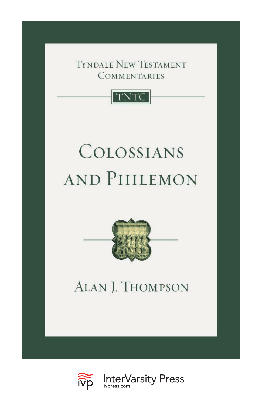**TYNDALE NEW TESTAMENT COMMENTARIES** 



# COLOSSIANS AND PHILEMON



# ALAN J. THOMPSON

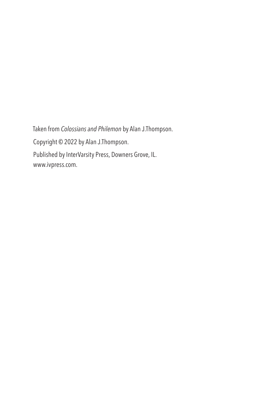Taken from *Colossians and Philemon* by Alan J.Thompson. Copyright © 2022 by Alan J.Thompson. Published by InterVarsity Press, Downers Grove, IL. [www.ivpress.com.](https://www.ivpress.com)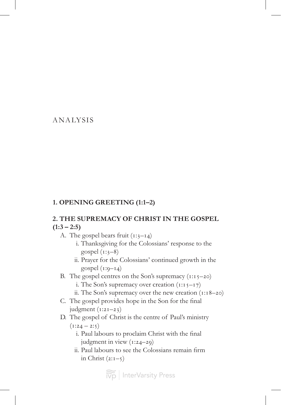## ANALYSIS

## **1. OPENING GREETING (1:1–2)**

## **2. THE SUPREMACY OF CHRIST IN THE GOSPEL (1:3 – 2:5)**

- A. The gospel bears fruit  $(i:3-i)$ 
	- i. Thanksgiving for the Colossians' response to the gospel  $(i:3-8)$
	- ii. Prayer for the Colossians' continued growth in the gospel  $(i:9-i)$
- B. The gospel centres on the Son's supremacy  $(i:i-20)$ 
	- i. The Son's supremacy over creation  $(i:i,j-17)$
	- ii. The Son's supremacy over the new creation (1:18–20)
- C. The gospel provides hope in the Son for the final judgment  $(i:2i-23)$
- D. The gospel of Christ is the centre of Paul's ministry  $(1:24 - 2:5)$ 
	- i. Paul labours to proclaim Christ with the final judgment in view (1:24–29)
	- ii. Paul labours to see the Colossians remain firm in Christ  $(2:1-\xi)$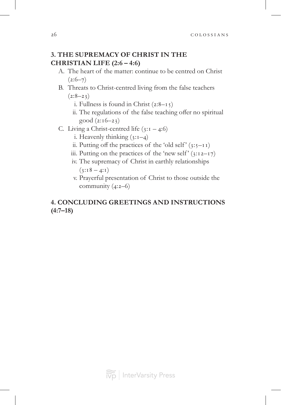## **3. THE SUPREMACY OF CHRIST IN THE CHRISTIAN LIFE (2:6 – 4:6)**

- A. The heart of the matter: continue to be centred on Christ  $(2:6-7)$
- B. Threats to Christ-centred living from the false teachers  $(2:8-2)$ 
	- i. Fullness is found in Christ  $(2:8-1)$
	- ii. The regulations of the false teaching offer no spiritual good (2:16–23)
- C. Living a Christ-centred life  $(3:1 4:6)$ 
	- i. Heavenly thinking  $(3:1-4)$
	- ii. Putting off the practices of the 'old self'  $(3:5-I)$
	- iii. Putting on the practices of the 'new self'  $(3:12-17)$
	- iv. The supremacy of Christ in earthly relationships  $(3:18 - 4:1)$
	- v. Prayerful presentation of Christ to those outside the community (4:2–6)

## **4. CONCLUDING GREETINGS AND INSTRUCTIONS (4:7–18)**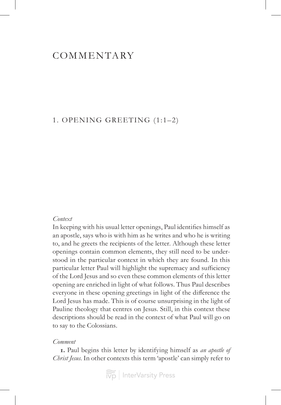## **COMMENTARY**

## 1. OPENING GREETING (1:1–2)

### *Context*

In keeping with his usual letter openings, Paul identifies himself as an apostle, says who is with him as he writes and who he is writing to, and he greets the recipients of the letter. Although these letter openings contain common elements, they still need to be understood in the particular context in which they are found. In this particular letter Paul will highlight the supremacy and sufficiency of the Lord Jesus and so even these common elements of this letter opening are enriched in light of what follows. Thus Paul describes everyone in these opening greetings in light of the difference the Lord Jesus has made. This is of course unsurprising in the light of Pauline theology that centres on Jesus. Still, in this context these descriptions should be read in the context of what Paul will go on to say to the Colossians.

## *Comment*

**1.** Paul begins this letter by identifying himself as *an apostle of Christ Jesus*. In other contexts this term 'apostle' can simply refer to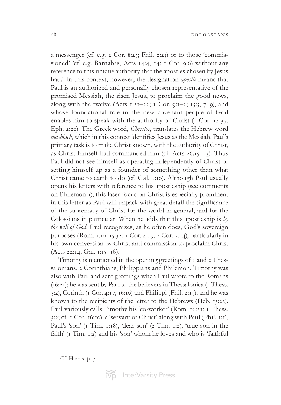28 colossians

a messenger (cf. e.g. 2 Cor. 8:23; Phil. 2:25) or to those 'commissioned' (cf. e.g. Barnabas, Acts 14:4, 14; 1 Cor. 9:6) without any reference to this unique authority that the apostles chosen by Jesus had.1 In this context, however, the designation *apostle* means that Paul is an authorized and personally chosen representative of the promised Messiah, the risen Jesus, to proclaim the good news, along with the twelve (Acts 1:21–22; 1 Cor. 9:1–2; 15:5, 7, 9), and whose foundational role in the new covenant people of God enables him to speak with the authority of Christ (1 Cor. 14:37; Eph. 2:20). The Greek word, *Christos*, translates the Hebrew word *mashiach*, which in this context identifies Jesus as the Messiah. Paul's primary task is to make Christ known, with the authority of Christ, as Christ himself had commanded him (cf. Acts 26:15–23). Thus Paul did not see himself as operating independently of Christ or setting himself up as a founder of something other than what Christ came to earth to do (cf. Gal. 1:10). Although Paul usually opens his letters with reference to his apostleship (see comments on Philemon 1), this laser focus on Christ is especially prominent in this letter as Paul will unpack with great detail the significance of the supremacy of Christ for the world in general, and for the Colossians in particular. When he adds that this apostleship is *by the will of God*, Paul recognizes, as he often does, God's sovereign purposes (Rom. 1:10; 15:32; 1 Cor. 4:19; 2 Cor. 2:14), particularly in his own conversion by Christ and commission to proclaim Christ (Acts 22:14; Gal. 1:15–16).

Timothy is mentioned in the opening greetings of 1 and 2 Thessalonians, 2 Corinthians, Philippians and Philemon. Timothy was also with Paul and sent greetings when Paul wrote to the Romans (16:21); he was sent by Paul to the believers in Thessalonica (1 Thess. 3:2), Corinth (1 Cor. 4:17; 16:10) and Philippi (Phil. 2:19), and he was known to the recipients of the letter to the Hebrews (Heb. 13:23). Paul variously calls Timothy his 'co-worker' (Rom. 16:21; 1 Thess. 3:2; cf. 1 Cor. 16:10), a 'servant of Christ' along with Paul (Phil. 1:1), Paul's 'son' (1 Tim. 1:18), 'dear son' (2 Tim. 1:2), 'true son in the faith' (1 Tim. 1:2) and his 'son' whom he loves and who is 'faithful

<sup>1.</sup> Cf. Harris, p. 7.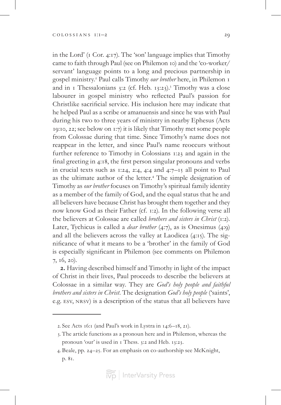in the Lord' (1 Cor. 4:17). The 'son' language implies that Timothy came to faith through Paul (see on Philemon 10) and the 'co-worker/ servant' language points to a long and precious partnership in gospel ministry.2 Paul calls Timothy *our brother* here, in Philemon 1 and in 1 Thessalonians 3:2 (cf. Heb. 13:23).<sup>3</sup> Timothy was a close labourer in gospel ministry who reflected Paul's passion for Christlike sacrificial service. His inclusion here may indicate that he helped Paul as a scribe or amanuensis and since he was with Paul during his two to three years of ministry in nearby Ephesus (Acts 19:10, 22; see below on 1:7) it is likely that Timothy met some people from Colossae during that time. Since Timothy's name does not reappear in the letter, and since Paul's name reoccurs without further reference to Timothy in Colossians 1:23 and again in the final greeting in 4:18, the first person singular pronouns and verbs in crucial texts such as 1:24, 2:4, 4:4 and 4:7–15 all point to Paul as the ultimate author of the letter.<sup>4</sup> The simple designation of Timothy as *our brother* focuses on Timothy's spiritual family identity as a member of the family of God, and the equal status that he and all believers have because Christ has brought them together and they now know God as their Father (cf. 1:2). In the following verse all the believers at Colossae are called *brothers and sisters in Christ* (1:2). Later, Tychicus is called a *dear brother* (4:7), as is Onesimus (4:9) and all the believers across the valley at Laodicea (4:15). The significance of what it means to be a 'brother' in the family of God is especially significant in Philemon (see comments on Philemon 7, 16, 20).

**2.** Having described himself and Timothy in light of the impact of Christ in their lives, Paul proceeds to describe the believers at Colossae in a similar way. They are *God's holy people and faithful brothers and sisters in Christ*. The designation *God's holy people* ('saints', e.g. esv, nrsv) is a description of the status that all believers have

<sup>2.</sup> See Acts 16:1 (and Paul's work in Lystra in 14:6–18, 21).

<sup>3.</sup> The article functions as a pronoun here and in Philemon, whereas the pronoun 'our' is used in 1 Thess. 3:2 and Heb. 13:23.

<sup>4.</sup> Beale, pp. 24–25. For an emphasis on co-authorship see McKnight, p. 81.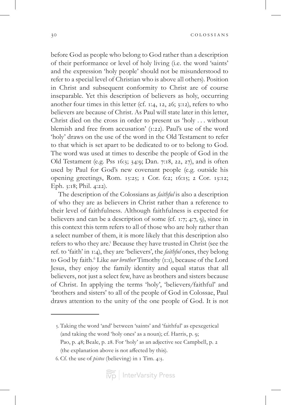before God as people who belong to God rather than a description of their performance or level of holy living (i.e. the word 'saints' and the expression 'holy people' should not be misunderstood to refer to a special level of Christian who is above all others). Position in Christ and subsequent conformity to Christ are of course inseparable. Yet this description of believers as holy, occurring another four times in this letter (cf. 1:4, 12, 26; 3:12), refers to who believers are because of Christ. As Paul will state later in this letter, Christ died on the cross in order to present us 'holy . . . without blemish and free from accusation' (1:22). Paul's use of the word 'holy' draws on the use of the word in the Old Testament to refer to that which is set apart to be dedicated to or to belong to God. The word was used at times to describe the people of God in the Old Testament (e.g. Pss 16:3; 34:9; Dan. 7:18, 22, 27), and is often used by Paul for God's new covenant people (e.g. outside his opening greetings, Rom. 15:25; 1 Cor. 6:2; 16:15; 2 Cor. 13:12; Eph. 3:18; Phil. 4:22).

The description of the Colossians as *faithful* is also a description of who they are as believers in Christ rather than a reference to their level of faithfulness. Although faithfulness is expected for believers and can be a description of some (cf. 1:7; 4:7, 9), since in this context this term refers to all of those who are holy rather than a select number of them, it is more likely that this description also refers to who they are.<sup>5</sup> Because they have trusted in Christ (see the ref. to 'faith' in 1:4), they are 'believers', the *faithful* ones, they belong to God by faith.<sup>6</sup> Like *our brother* Timothy (1:1), because of the Lord Jesus, they enjoy the family identity and equal status that all believers, not just a select few, have as brothers and sisters because of Christ. In applying the terms 'holy', 'believers/faithful' and 'brothers and sisters' to all of the people of God in Colossae, Paul draws attention to the unity of the one people of God. It is not

5. Taking the word 'and' between 'saints' and 'faithful' as epexegetical (and taking the word 'holy ones' as a noun); cf. Harris, p. 9; Pao, p. 48; Beale, p. 28. For 'holy' as an adjective see Campbell, p. 2 (the explanation above is not affected by this).

6. Cf. the use of *pistos* (believing) in 1 Tim. 4:3.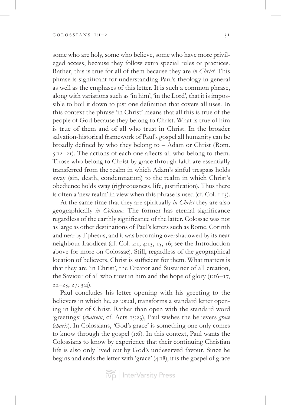some who are holy, some who believe, some who have more privileged access, because they follow extra special rules or practices. Rather, this is true for all of them because they are *in Christ*. This phrase is significant for understanding Paul's theology in general as well as the emphases of this letter. It is such a common phrase, along with variations such as 'in him', 'in the Lord', that it is impossible to boil it down to just one definition that covers all uses. In this context the phrase 'in Christ' means that all this is true of the people of God because they belong to Christ. What is true of him is true of them and of all who trust in Christ. In the broader salvation-historical framework of Paul's gospel all humanity can be broadly defined by who they belong to – Adam or Christ (Rom. 5:12–21). The actions of each one affects all who belong to them. Those who belong to Christ by grace through faith are essentially transferred from the realm in which Adam's sinful trespass holds sway (sin, death, condemnation) to the realm in which Christ's obedience holds sway (righteousness, life, justification). Thus there is often a 'new realm' in view when this phrase is used (cf. Col. 1:13).

At the same time that they are spiritually *in Christ* they are also geographically *in Colossae*. The former has eternal significance regardless of the earthly significance of the latter. Colossae was not as large as other destinations of Paul's letters such as Rome, Corinth and nearby Ephesus, and it was becoming overshadowed by its near neighbour Laodicea (cf. Col. 2:1; 4:13, 15, 16; see the Introduction above for more on Colossae). Still, regardless of the geographical location of believers, Christ is sufficient for them. What matters is that they are 'in Christ', the Creator and Sustainer of all creation, the Saviour of all who trust in him and the hope of glory  $(i:16–17, 1)$  $22-23, 27; 3:4$ .

Paul concludes his letter opening with his greeting to the believers in which he, as usual, transforms a standard letter opening in light of Christ. Rather than open with the standard word 'greetings' (*chairein*, cf. Acts 15:23), Paul wishes the believers *grace* (*charis*). In Colossians, 'God's grace' is something one only comes to know through the gospel (1:6). In this context, Paul wants the Colossians to know by experience that their continuing Christian life is also only lived out by God's undeserved favour. Since he begins and ends the letter with 'grace' (4:18), it is the gospel of grace

 $\left|\widetilde{\widetilde{\text{V}}\text{p}}\right|$  InterVarsity Press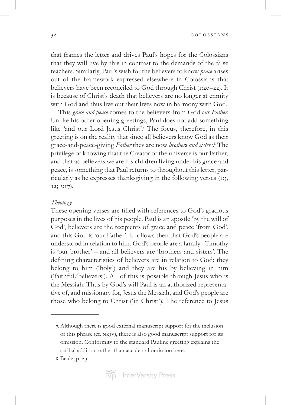that frames the letter and drives Paul's hopes for the Colossians that they will live by this in contrast to the demands of the false teachers. Similarly, Paul's wish for the believers to know *peace* arises out of the framework expressed elsewhere in Colossians that believers have been reconciled to God through Christ (1:20–22). It is because of Christ's death that believers are no longer at enmity with God and thus live out their lives now in harmony with God.

This *grace and peace* comes to the believers from God *our Father*. Unlike his other opening greetings, Paul does not add something like 'and our Lord Jesus Christ'.<sup>7</sup> The focus, therefore, in this greeting is on the reality that since all believers know God as their grace-and-peace-giving *Father* they are now *brothers and sisters*. 8 The privilege of knowing that the Creator of the universe is our Father, and that as believers we are his children living under his grace and peace, is something that Paul returns to throughout this letter, particularly as he expresses thanksgiving in the following verses (1:3, 12; 3:17).

### *Theolog y*

These opening verses are filled with references to God's gracious purposes in the lives of his people. Paul is an apostle 'by the will of God', believers are the recipients of grace and peace 'from God', and this God is 'our Father'. It follows then that God's people are understood in relation to him. God's people are a family –Timothy is 'our brother' – and all believers are 'brothers and sisters'. The defining characteristics of believers are in relation to God: they belong to him ('holy') and they are his by believing in him ('faithful/believers'). All of this is possible through Jesus who is the Messiah. Thus by God's will Paul is an authorized representative of, and missionary for, Jesus the Messiah, and God's people are those who belong to Christ ('in Christ'). The reference to Jesus

<sup>7.</sup> Although there is good external manuscript support for the inclusion of this phrase (cf. nkjv), there is also good manuscript support for its omission. Conformity to the standard Pauline greeting explains the scribal addition rather than accidental omission here.

<sup>8.</sup> Beale, p. 29.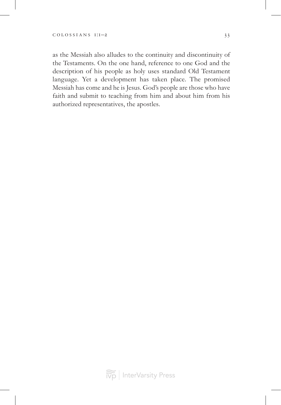as the Messiah also alludes to the continuity and discontinuity of the Testaments. On the one hand, reference to one God and the description of his people as holy uses standard Old Testament language. Yet a development has taken place. The promised Messiah has come and he is Jesus. God's people are those who have faith and submit to teaching from him and about him from his authorized representatives, the apostles.